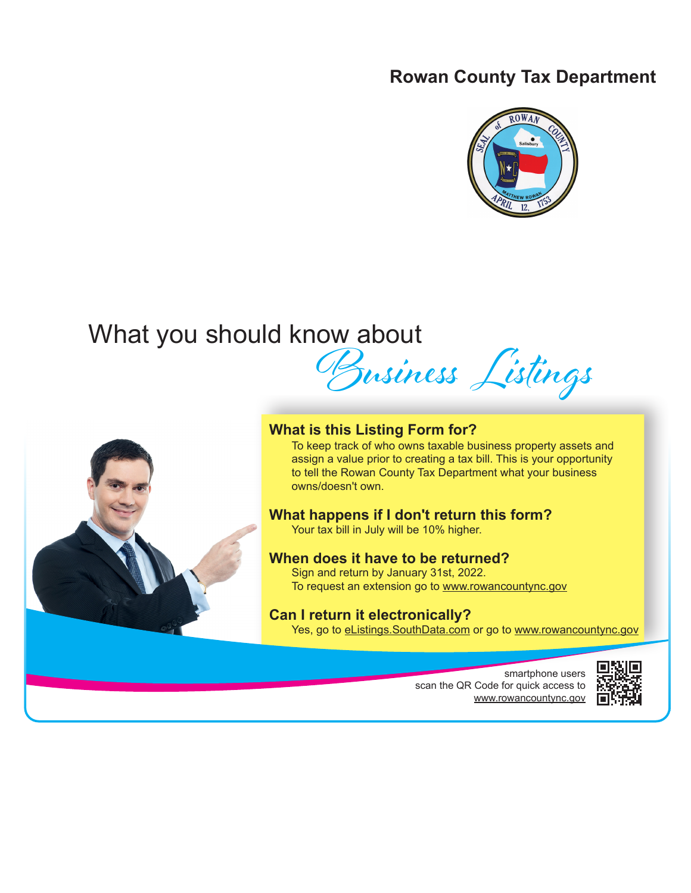# **Rowan County Tax Department**



# What you should know about Business Listings



# **What is this Listing Form for?**

To keep track of who owns taxable business property assets and assign a value prior to creating a tax bill. This is your opportunity to tell the Rowan County Tax Department what your business owns/doesn't own.

# **What happens if I don't return this form?**

Your tax bill in July will be 10% higher.

# **When does it have to be returned?**

Sign and return by January 31st, 2022. To request an extension go to www.rowancountync.gov

# **Can I return it electronically?**

Yes, go to eListings. SouthData.com or go to www.rowancountync.gov

smartphone users scan the QR Code for quick access to www.rowancountync.gov

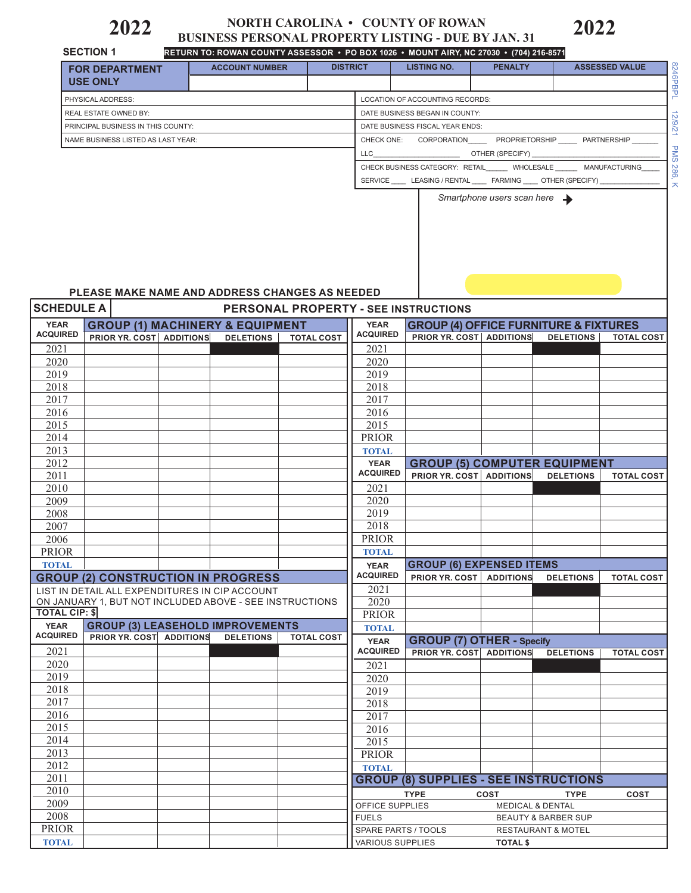# **2022** • **2022 DESINESS PERSONAL PROPERTY LISTING - DUE BY JAN. 31**

|                                     | <b>SECTION 1</b>                                        |                       |                                             |                                                                                                                                                                                                                                      | RETURN TO: ROWAN COUNTY ASSESSOR • PO BOX 1026 • MOUNT AIRY, NC 27030 • (704) 216-8571 |                                          |                                                                 |                       |
|-------------------------------------|---------------------------------------------------------|-----------------------|---------------------------------------------|--------------------------------------------------------------------------------------------------------------------------------------------------------------------------------------------------------------------------------------|----------------------------------------------------------------------------------------|------------------------------------------|-----------------------------------------------------------------|-----------------------|
|                                     | <b>FOR DEPARTMENT</b>                                   | <b>ACCOUNT NUMBER</b> |                                             | <b>DISTRICT</b>                                                                                                                                                                                                                      | <b>LISTING NO.</b>                                                                     | <b>PENALTY</b>                           |                                                                 | <b>ASSESSED VALUE</b> |
|                                     | <b>USE ONLY</b>                                         |                       |                                             |                                                                                                                                                                                                                                      |                                                                                        |                                          |                                                                 |                       |
|                                     | PHYSICAL ADDRESS:                                       |                       |                                             |                                                                                                                                                                                                                                      | LOCATION OF ACCOUNTING RECORDS:                                                        |                                          |                                                                 |                       |
|                                     | REAL ESTATE OWNED BY:                                   |                       |                                             |                                                                                                                                                                                                                                      | DATE BUSINESS BEGAN IN COUNTY:                                                         |                                          |                                                                 |                       |
|                                     | PRINCIPAL BUSINESS IN THIS COUNTY:                      |                       |                                             |                                                                                                                                                                                                                                      | DATE BUSINESS FISCAL YEAR ENDS:                                                        |                                          |                                                                 |                       |
|                                     | NAME BUSINESS LISTED AS LAST YEAR:                      |                       |                                             |                                                                                                                                                                                                                                      | CHECK ONE: CORPORATION_______ PROPRIETORSHIP ______ PARTNERSHIP ___                    |                                          |                                                                 |                       |
|                                     |                                                         |                       |                                             | LLC <b>the contract of the contract of the contract of the contract of the contract of the contract of the contract of the contract of the contract of the contract of the contract of the contract of the contract of the contr</b> |                                                                                        | OTHER (SPECIFY)                          |                                                                 |                       |
|                                     |                                                         |                       |                                             |                                                                                                                                                                                                                                      | CHECK BUSINESS CATEGORY: RETAIL WHOLESALE MANUFACTURING                                |                                          |                                                                 |                       |
|                                     |                                                         |                       |                                             |                                                                                                                                                                                                                                      | SERVICE LEASING / RENTAL FARMING OTHER (SPECIFY)                                       |                                          |                                                                 |                       |
|                                     | PLEASE MAKE NAME AND ADDRESS CHANGES AS NEEDED          |                       |                                             |                                                                                                                                                                                                                                      |                                                                                        | Smartphone users scan here $\rightarrow$ |                                                                 |                       |
| <b>SCHEDULE A</b>                   |                                                         |                       | <b>PERSONAL PROPERTY - SEE INSTRUCTIONS</b> |                                                                                                                                                                                                                                      |                                                                                        |                                          |                                                                 |                       |
| <b>YEAR</b>                         | <b>GROUP (1) MACHINERY &amp; EQUIPMENT</b>              |                       |                                             | <b>YEAR</b>                                                                                                                                                                                                                          | <b>GROUP (4) OFFICE FURNITURE &amp; FIXTURES</b>                                       |                                          |                                                                 |                       |
| <b>ACQUIRED</b>                     | <b>PRIOR YR. COST   ADDITIONS</b>                       | <b>DELETIONS</b>      | <b>TOTAL COST</b>                           | <b>ACQUIRED</b>                                                                                                                                                                                                                      | <b>PRIOR YR. COST   ADDITIONS</b>                                                      |                                          | <b>DELETIONS</b>                                                | <b>TOTAL COST</b>     |
| 2021                                |                                                         |                       |                                             | 2021                                                                                                                                                                                                                                 |                                                                                        |                                          |                                                                 |                       |
| 2020                                |                                                         |                       |                                             | 2020                                                                                                                                                                                                                                 |                                                                                        |                                          |                                                                 |                       |
| 2019                                |                                                         |                       |                                             | 2019                                                                                                                                                                                                                                 |                                                                                        |                                          |                                                                 |                       |
| 2018                                |                                                         |                       |                                             | 2018                                                                                                                                                                                                                                 |                                                                                        |                                          |                                                                 |                       |
| 2017                                |                                                         |                       |                                             | 2017                                                                                                                                                                                                                                 |                                                                                        |                                          |                                                                 |                       |
| 2016                                |                                                         |                       |                                             | 2016                                                                                                                                                                                                                                 |                                                                                        |                                          |                                                                 |                       |
| 2015                                |                                                         |                       |                                             | 2015                                                                                                                                                                                                                                 |                                                                                        |                                          |                                                                 |                       |
| 2014                                |                                                         |                       |                                             | <b>PRIOR</b>                                                                                                                                                                                                                         |                                                                                        |                                          |                                                                 |                       |
| 2013                                |                                                         |                       |                                             | <b>TOTAL</b>                                                                                                                                                                                                                         |                                                                                        |                                          |                                                                 |                       |
| 2012                                |                                                         |                       |                                             | <b>YEAR</b><br><b>ACQUIRED</b>                                                                                                                                                                                                       | <b>GROUP (5) COMPUTER EQUIPMENT</b>                                                    |                                          |                                                                 |                       |
| 2011<br>2010                        |                                                         |                       |                                             | 2021                                                                                                                                                                                                                                 | <b>PRIOR YR. COST   ADDITIONS</b>                                                      |                                          | <b>DELETIONS</b>                                                | <b>TOTAL COST</b>     |
| 2009                                |                                                         |                       |                                             | 2020                                                                                                                                                                                                                                 |                                                                                        |                                          |                                                                 |                       |
| 2008                                |                                                         |                       |                                             | 2019                                                                                                                                                                                                                                 |                                                                                        |                                          |                                                                 |                       |
| 2007                                |                                                         |                       |                                             | 2018                                                                                                                                                                                                                                 |                                                                                        |                                          |                                                                 |                       |
| 2006                                |                                                         |                       |                                             | <b>PRIOR</b>                                                                                                                                                                                                                         |                                                                                        |                                          |                                                                 |                       |
| PRIOR                               |                                                         |                       |                                             | <b>TOTAL</b>                                                                                                                                                                                                                         |                                                                                        |                                          |                                                                 |                       |
| <b>TOTAL</b>                        |                                                         |                       |                                             | <b>YEAR</b>                                                                                                                                                                                                                          | <b>GROUP (6) EXPENSED ITEMS</b>                                                        |                                          |                                                                 |                       |
|                                     | <b>GROUP (2) CONSTRUCTION IN PROGRESS</b>               |                       |                                             | <b>ACQUIRED</b>                                                                                                                                                                                                                      | <b>PRIOR YR. COST   ADDITIONS</b>                                                      |                                          | <b>DELETIONS</b>                                                | <b>TOTAL COST</b>     |
|                                     | LIST IN DETAIL ALL EXPENDITURES IN CIP ACCOUNT          |                       |                                             | 2021                                                                                                                                                                                                                                 |                                                                                        |                                          |                                                                 |                       |
|                                     | ON JANUARY 1, BUT NOT INCLUDED ABOVE - SEE INSTRUCTIONS |                       |                                             | 2020                                                                                                                                                                                                                                 |                                                                                        |                                          |                                                                 |                       |
| <b>TOTAL CIP: \$</b><br><b>YEAR</b> | <b>GROUP (3) LEASEHOLD IMPROVEMENTS</b>                 |                       |                                             | <b>PRIOR</b>                                                                                                                                                                                                                         |                                                                                        |                                          |                                                                 |                       |
| <b>ACQUIRED</b>                     | <b>PRIOR YR. COST ADDITIONS</b>                         | <b>DELETIONS</b>      | <b>TOTAL COST</b>                           | <b>TOTAL</b>                                                                                                                                                                                                                         |                                                                                        |                                          |                                                                 |                       |
| 2021                                |                                                         |                       |                                             | <b>YEAR</b><br><b>ACQUIRED</b>                                                                                                                                                                                                       | <b>GROUP (7) OTHER - Specify</b><br><b>PRIOR YR. COST ADDITIONS</b>                    |                                          | <b>DELETIONS</b>                                                | <b>TOTAL COST</b>     |
| 2020                                |                                                         |                       |                                             | 2021                                                                                                                                                                                                                                 |                                                                                        |                                          |                                                                 |                       |
| 2019                                |                                                         |                       |                                             | 2020                                                                                                                                                                                                                                 |                                                                                        |                                          |                                                                 |                       |
| 2018                                |                                                         |                       |                                             | 2019                                                                                                                                                                                                                                 |                                                                                        |                                          |                                                                 |                       |
| 2017                                |                                                         |                       |                                             | 2018                                                                                                                                                                                                                                 |                                                                                        |                                          |                                                                 |                       |
| 2016                                |                                                         |                       |                                             | 2017                                                                                                                                                                                                                                 |                                                                                        |                                          |                                                                 |                       |
| 2015                                |                                                         |                       |                                             | 2016                                                                                                                                                                                                                                 |                                                                                        |                                          |                                                                 |                       |
| 2014                                |                                                         |                       |                                             | 2015                                                                                                                                                                                                                                 |                                                                                        |                                          |                                                                 |                       |
| 2013                                |                                                         |                       |                                             | <b>PRIOR</b>                                                                                                                                                                                                                         |                                                                                        |                                          |                                                                 |                       |
|                                     |                                                         |                       |                                             |                                                                                                                                                                                                                                      |                                                                                        |                                          |                                                                 |                       |
| 2012                                |                                                         |                       |                                             | <b>TOTAL</b>                                                                                                                                                                                                                         |                                                                                        |                                          |                                                                 |                       |
| 2011                                |                                                         |                       |                                             |                                                                                                                                                                                                                                      | <b>GROUP (8) SUPPLIES - SEE INSTRUCTIONS</b>                                           |                                          |                                                                 |                       |
| 2010                                |                                                         |                       |                                             |                                                                                                                                                                                                                                      | <b>TYPE</b>                                                                            | <b>COST</b>                              | <b>TYPE</b>                                                     | <b>COST</b>           |
| 2009                                |                                                         |                       |                                             | OFFICE SUPPLIES                                                                                                                                                                                                                      |                                                                                        | <b>MEDICAL &amp; DENTAL</b>              |                                                                 |                       |
| 2008<br><b>PRIOR</b>                |                                                         |                       |                                             | <b>FUELS</b><br>SPARE PARTS / TOOLS                                                                                                                                                                                                  |                                                                                        |                                          | <b>BEAUTY &amp; BARBER SUP</b><br><b>RESTAURANT &amp; MOTEL</b> |                       |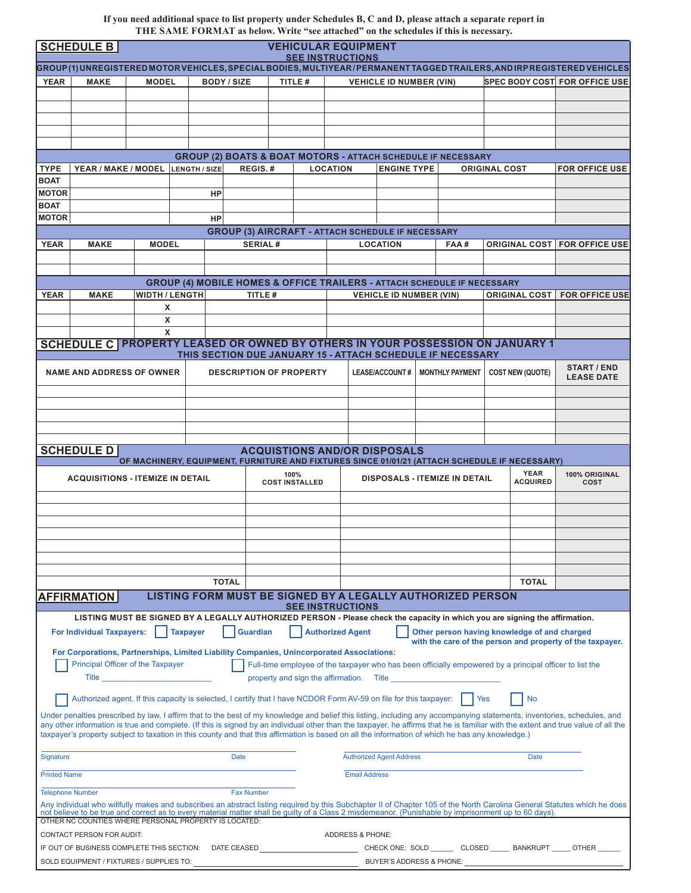**If you need additional space to list property under Schedules B, C and D, please attach a separate report in THE SAME FORMAT as below. Write "see attached" on the schedules if this is necessary.**

|                                                                                                                                                  | <b>VEHICULAR EQUIPMENT</b><br><b>SCHEDULE B</b>                                                                                                                                                               |                                                                                                                                                                                                                                          |                       |                                                          |                 |                         |                 |                             |                                          |  |                                                                                                         |                      |                         |                                                                                                                                                                                                                                                                                                                                                               |
|--------------------------------------------------------------------------------------------------------------------------------------------------|---------------------------------------------------------------------------------------------------------------------------------------------------------------------------------------------------------------|------------------------------------------------------------------------------------------------------------------------------------------------------------------------------------------------------------------------------------------|-----------------------|----------------------------------------------------------|-----------------|-------------------------|-----------------|-----------------------------|------------------------------------------|--|---------------------------------------------------------------------------------------------------------|----------------------|-------------------------|---------------------------------------------------------------------------------------------------------------------------------------------------------------------------------------------------------------------------------------------------------------------------------------------------------------------------------------------------------------|
| <b>SEE INSTRUCTIONS</b><br>GROUP(1)UNREGISTERED MOTOR VEHICLES, SPECIAL BODIES, MULTIYEAR/PERMANENT TAGGED TRAILERS, AND IRP REGISTERED VEHICLES |                                                                                                                                                                                                               |                                                                                                                                                                                                                                          |                       |                                                          |                 |                         |                 |                             |                                          |  |                                                                                                         |                      |                         |                                                                                                                                                                                                                                                                                                                                                               |
| YEAR                                                                                                                                             | <b>MAKE</b>                                                                                                                                                                                                   | <b>MODEL</b><br><b>BODY / SIZE</b>                                                                                                                                                                                                       |                       |                                                          |                 | TITLE #                 |                 |                             | <b>VEHICLE ID NUMBER (VIN)</b>           |  |                                                                                                         |                      |                         | <b>SPEC BODY COST FOR OFFICE USE</b>                                                                                                                                                                                                                                                                                                                          |
|                                                                                                                                                  |                                                                                                                                                                                                               |                                                                                                                                                                                                                                          |                       |                                                          |                 |                         |                 |                             |                                          |  |                                                                                                         |                      |                         |                                                                                                                                                                                                                                                                                                                                                               |
|                                                                                                                                                  |                                                                                                                                                                                                               |                                                                                                                                                                                                                                          |                       |                                                          |                 |                         |                 |                             |                                          |  |                                                                                                         |                      |                         |                                                                                                                                                                                                                                                                                                                                                               |
|                                                                                                                                                  |                                                                                                                                                                                                               |                                                                                                                                                                                                                                          |                       |                                                          |                 |                         |                 |                             |                                          |  |                                                                                                         |                      |                         |                                                                                                                                                                                                                                                                                                                                                               |
|                                                                                                                                                  |                                                                                                                                                                                                               |                                                                                                                                                                                                                                          |                       |                                                          |                 |                         |                 |                             |                                          |  |                                                                                                         |                      |                         |                                                                                                                                                                                                                                                                                                                                                               |
|                                                                                                                                                  |                                                                                                                                                                                                               |                                                                                                                                                                                                                                          |                       |                                                          |                 |                         |                 |                             |                                          |  |                                                                                                         |                      |                         |                                                                                                                                                                                                                                                                                                                                                               |
|                                                                                                                                                  |                                                                                                                                                                                                               |                                                                                                                                                                                                                                          |                       |                                                          |                 |                         |                 |                             |                                          |  | <b>GROUP (2) BOATS &amp; BOAT MOTORS - ATTACH SCHEDULE IF NECESSARY</b>                                 |                      |                         |                                                                                                                                                                                                                                                                                                                                                               |
| <b>TYPE</b>                                                                                                                                      | YEAR / MAKE / MODEL                                                                                                                                                                                           |                                                                                                                                                                                                                                          | LENGTH / SIZE         |                                                          | REGIS.#         |                         | <b>LOCATION</b> |                             | <b>ENGINE TYPE</b>                       |  |                                                                                                         | <b>ORIGINAL COST</b> |                         | <b>FOR OFFICE USE</b>                                                                                                                                                                                                                                                                                                                                         |
| <b>BOAT</b>                                                                                                                                      |                                                                                                                                                                                                               |                                                                                                                                                                                                                                          |                       |                                                          |                 |                         |                 |                             |                                          |  |                                                                                                         |                      |                         |                                                                                                                                                                                                                                                                                                                                                               |
| <b>MOTOR</b>                                                                                                                                     |                                                                                                                                                                                                               |                                                                                                                                                                                                                                          |                       | HP                                                       |                 |                         |                 |                             |                                          |  |                                                                                                         |                      |                         |                                                                                                                                                                                                                                                                                                                                                               |
| <b>BOAT</b><br><b>MOTOR</b>                                                                                                                      |                                                                                                                                                                                                               |                                                                                                                                                                                                                                          |                       | HP                                                       |                 |                         |                 |                             |                                          |  |                                                                                                         |                      |                         |                                                                                                                                                                                                                                                                                                                                                               |
|                                                                                                                                                  |                                                                                                                                                                                                               |                                                                                                                                                                                                                                          |                       |                                                          |                 |                         |                 |                             |                                          |  |                                                                                                         |                      |                         |                                                                                                                                                                                                                                                                                                                                                               |
| <b>YEAR</b>                                                                                                                                      | <b>MAKE</b>                                                                                                                                                                                                   | <b>MODEL</b>                                                                                                                                                                                                                             |                       | <b>GROUP (3) AIRCRAFT - ATTACH SCHEDULE IF NECESSARY</b> | <b>SERIAL#</b>  |                         |                 |                             | <b>LOCATION</b>                          |  | FAA#                                                                                                    |                      |                         | <b>ORIGINAL COST   FOR OFFICE USE</b>                                                                                                                                                                                                                                                                                                                         |
|                                                                                                                                                  |                                                                                                                                                                                                               |                                                                                                                                                                                                                                          |                       |                                                          |                 |                         |                 |                             |                                          |  |                                                                                                         |                      |                         |                                                                                                                                                                                                                                                                                                                                                               |
|                                                                                                                                                  |                                                                                                                                                                                                               |                                                                                                                                                                                                                                          |                       |                                                          |                 |                         |                 |                             |                                          |  |                                                                                                         |                      |                         |                                                                                                                                                                                                                                                                                                                                                               |
|                                                                                                                                                  |                                                                                                                                                                                                               |                                                                                                                                                                                                                                          |                       |                                                          |                 |                         |                 |                             |                                          |  | <b>GROUP (4) MOBILE HOMES &amp; OFFICE TRAILERS - ATTACH SCHEDULE IF NECESSARY</b>                      |                      |                         |                                                                                                                                                                                                                                                                                                                                                               |
| <b>YEAR</b>                                                                                                                                      | <b>MAKE</b>                                                                                                                                                                                                   |                                                                                                                                                                                                                                          | <b>WIDTH / LENGTH</b> |                                                          | TITLE#          |                         |                 |                             | <b>VEHICLE ID NUMBER (VIN)</b>           |  |                                                                                                         |                      | <b>ORIGINAL COST</b>    | <b>FOR OFFICE USE</b>                                                                                                                                                                                                                                                                                                                                         |
|                                                                                                                                                  |                                                                                                                                                                                                               | $\mathsf{x}$                                                                                                                                                                                                                             |                       |                                                          |                 |                         |                 |                             |                                          |  |                                                                                                         |                      |                         |                                                                                                                                                                                                                                                                                                                                                               |
|                                                                                                                                                  |                                                                                                                                                                                                               | X                                                                                                                                                                                                                                        |                       |                                                          |                 |                         |                 |                             |                                          |  |                                                                                                         |                      |                         |                                                                                                                                                                                                                                                                                                                                                               |
|                                                                                                                                                  |                                                                                                                                                                                                               | X                                                                                                                                                                                                                                        |                       |                                                          |                 |                         |                 |                             |                                          |  |                                                                                                         |                      |                         |                                                                                                                                                                                                                                                                                                                                                               |
|                                                                                                                                                  | SCHEDULE C PROPERTY LEASED OR OWNED BY OTHERS IN YOUR POSSESSION ON JANUARY 1                                                                                                                                 |                                                                                                                                                                                                                                          |                       |                                                          |                 |                         |                 |                             |                                          |  |                                                                                                         |                      |                         |                                                                                                                                                                                                                                                                                                                                                               |
|                                                                                                                                                  |                                                                                                                                                                                                               |                                                                                                                                                                                                                                          |                       |                                                          |                 |                         |                 |                             |                                          |  | THIS SECTION DUE JANUARY 15 - ATTACH SCHEDULE IF NECESSARY                                              |                      |                         | <b>START / END</b>                                                                                                                                                                                                                                                                                                                                            |
|                                                                                                                                                  | <b>NAME AND ADDRESS OF OWNER</b>                                                                                                                                                                              |                                                                                                                                                                                                                                          |                       | <b>DESCRIPTION OF PROPERTY</b>                           |                 |                         |                 |                             | <b>LEASE/ACCOUNT#</b>                    |  | <b>MONTHLY PAYMENT</b>                                                                                  |                      | <b>COST NEW (QUOTE)</b> | <b>LEASE DATE</b>                                                                                                                                                                                                                                                                                                                                             |
|                                                                                                                                                  |                                                                                                                                                                                                               |                                                                                                                                                                                                                                          |                       |                                                          |                 |                         |                 |                             |                                          |  |                                                                                                         |                      |                         |                                                                                                                                                                                                                                                                                                                                                               |
|                                                                                                                                                  |                                                                                                                                                                                                               |                                                                                                                                                                                                                                          |                       |                                                          |                 |                         |                 |                             |                                          |  |                                                                                                         |                      |                         |                                                                                                                                                                                                                                                                                                                                                               |
|                                                                                                                                                  |                                                                                                                                                                                                               |                                                                                                                                                                                                                                          |                       |                                                          |                 |                         |                 |                             |                                          |  |                                                                                                         |                      |                         |                                                                                                                                                                                                                                                                                                                                                               |
|                                                                                                                                                  |                                                                                                                                                                                                               |                                                                                                                                                                                                                                          |                       |                                                          |                 |                         |                 |                             |                                          |  |                                                                                                         |                      |                         |                                                                                                                                                                                                                                                                                                                                                               |
|                                                                                                                                                  | <b>SCHEDULE D</b>                                                                                                                                                                                             |                                                                                                                                                                                                                                          |                       |                                                          |                 |                         |                 |                             | <b>ACQUISTIONS AND/OR DISPOSALS</b>      |  |                                                                                                         |                      |                         |                                                                                                                                                                                                                                                                                                                                                               |
|                                                                                                                                                  |                                                                                                                                                                                                               |                                                                                                                                                                                                                                          |                       |                                                          |                 |                         |                 |                             |                                          |  | OF MACHINERY, EQUIPMENT, FURNITURE AND FIXTURES SINCE 01/01/21 (ATTACH SCHEDULE IF NECESSARY)           |                      |                         |                                                                                                                                                                                                                                                                                                                                                               |
|                                                                                                                                                  | <b>ACQUISITIONS - ITEMIZE IN DETAIL</b>                                                                                                                                                                       |                                                                                                                                                                                                                                          |                       |                                                          |                 | 100%                    |                 |                             |                                          |  | <b>DISPOSALS - ITEMIZE IN DETAIL</b>                                                                    |                      | <b>YEAR</b>             | 100% ORIGINAL                                                                                                                                                                                                                                                                                                                                                 |
|                                                                                                                                                  |                                                                                                                                                                                                               |                                                                                                                                                                                                                                          |                       |                                                          |                 | <b>COST INSTALLED</b>   |                 |                             |                                          |  |                                                                                                         |                      | <b>ACQUIRED</b>         | COST                                                                                                                                                                                                                                                                                                                                                          |
|                                                                                                                                                  |                                                                                                                                                                                                               |                                                                                                                                                                                                                                          |                       |                                                          |                 |                         |                 |                             |                                          |  |                                                                                                         |                      |                         |                                                                                                                                                                                                                                                                                                                                                               |
|                                                                                                                                                  |                                                                                                                                                                                                               |                                                                                                                                                                                                                                          |                       |                                                          |                 |                         |                 |                             |                                          |  |                                                                                                         |                      |                         |                                                                                                                                                                                                                                                                                                                                                               |
|                                                                                                                                                  |                                                                                                                                                                                                               |                                                                                                                                                                                                                                          |                       |                                                          |                 |                         |                 |                             |                                          |  |                                                                                                         |                      |                         |                                                                                                                                                                                                                                                                                                                                                               |
|                                                                                                                                                  |                                                                                                                                                                                                               |                                                                                                                                                                                                                                          |                       |                                                          |                 |                         |                 |                             |                                          |  |                                                                                                         |                      |                         |                                                                                                                                                                                                                                                                                                                                                               |
|                                                                                                                                                  |                                                                                                                                                                                                               |                                                                                                                                                                                                                                          |                       |                                                          |                 |                         |                 |                             |                                          |  |                                                                                                         |                      |                         |                                                                                                                                                                                                                                                                                                                                                               |
|                                                                                                                                                  |                                                                                                                                                                                                               |                                                                                                                                                                                                                                          |                       |                                                          |                 |                         |                 |                             |                                          |  |                                                                                                         |                      |                         |                                                                                                                                                                                                                                                                                                                                                               |
|                                                                                                                                                  |                                                                                                                                                                                                               |                                                                                                                                                                                                                                          |                       | <b>TOTAL</b>                                             |                 |                         |                 |                             |                                          |  |                                                                                                         |                      | <b>TOTAL</b>            |                                                                                                                                                                                                                                                                                                                                                               |
|                                                                                                                                                  | <b>AFFIRMATION</b>                                                                                                                                                                                            |                                                                                                                                                                                                                                          |                       |                                                          |                 |                         |                 |                             |                                          |  | LISTING FORM MUST BE SIGNED BY A LEGALLY AUTHORIZED PERSON                                              |                      |                         |                                                                                                                                                                                                                                                                                                                                                               |
|                                                                                                                                                  | LISTING MUST BE SIGNED BY A LEGALLY AUTHORIZED PERSON - Please check the capacity in which you are signing the affirmation.                                                                                   |                                                                                                                                                                                                                                          |                       |                                                          |                 | <b>SEE INSTRUCTIONS</b> |                 |                             |                                          |  |                                                                                                         |                      |                         |                                                                                                                                                                                                                                                                                                                                                               |
|                                                                                                                                                  |                                                                                                                                                                                                               |                                                                                                                                                                                                                                          |                       |                                                          |                 |                         |                 |                             |                                          |  |                                                                                                         |                      |                         |                                                                                                                                                                                                                                                                                                                                                               |
|                                                                                                                                                  | <b>For Individual Taxpayers:</b>                                                                                                                                                                              |                                                                                                                                                                                                                                          | <b>Taxpayer</b>       |                                                          | <b>Guardian</b> |                         |                 | <b>Authorized Agent</b>     |                                          |  | Other person having knowledge of and charged                                                            |                      |                         | with the care of the person and property of the taxpayer.                                                                                                                                                                                                                                                                                                     |
|                                                                                                                                                  | For Corporations, Partnerships, Limited Liability Companies, Unincorporated Associations:                                                                                                                     |                                                                                                                                                                                                                                          |                       |                                                          |                 |                         |                 |                             |                                          |  |                                                                                                         |                      |                         |                                                                                                                                                                                                                                                                                                                                                               |
|                                                                                                                                                  | Principal Officer of the Taxpayer                                                                                                                                                                             |                                                                                                                                                                                                                                          |                       |                                                          |                 |                         |                 |                             |                                          |  | Full-time employee of the taxpayer who has been officially empowered by a principal officer to list the |                      |                         |                                                                                                                                                                                                                                                                                                                                                               |
|                                                                                                                                                  |                                                                                                                                                                                                               | <b>Title <i>Community of the Community of the Community of the Community of the Community of the Community of the Community of the Community of the Community of the Community of the Community of the Community of the Communit</i></b> |                       |                                                          |                 |                         |                 |                             | property and sign the affirmation. Title |  |                                                                                                         |                      |                         |                                                                                                                                                                                                                                                                                                                                                               |
|                                                                                                                                                  | Authorized agent. If this capacity is selected, I certify that I have NCDOR Form AV-59 on file for this taxpayer:                                                                                             |                                                                                                                                                                                                                                          |                       |                                                          |                 |                         |                 |                             |                                          |  | <b>I</b> Yes                                                                                            |                      | <b>No</b>               |                                                                                                                                                                                                                                                                                                                                                               |
|                                                                                                                                                  |                                                                                                                                                                                                               |                                                                                                                                                                                                                                          |                       |                                                          |                 |                         |                 |                             |                                          |  |                                                                                                         |                      |                         |                                                                                                                                                                                                                                                                                                                                                               |
|                                                                                                                                                  |                                                                                                                                                                                                               |                                                                                                                                                                                                                                          |                       |                                                          |                 |                         |                 |                             |                                          |  |                                                                                                         |                      |                         | Under penalties prescribed by law, I affirm that to the best of my knowledge and belief this listing, including any accompanying statements, inventories, schedules, and<br>any other information is true and complete. (If this is signed by an individual other than the taxpayer, he affirms that he is familiar with the extent and true value of all the |
|                                                                                                                                                  | taxpayer's property subject to taxation in this county and that this affirmation is based on all the information of which he has any knowledge.)                                                              |                                                                                                                                                                                                                                          |                       |                                                          |                 |                         |                 |                             |                                          |  |                                                                                                         |                      |                         |                                                                                                                                                                                                                                                                                                                                                               |
|                                                                                                                                                  |                                                                                                                                                                                                               |                                                                                                                                                                                                                                          |                       |                                                          |                 |                         |                 |                             |                                          |  |                                                                                                         |                      |                         |                                                                                                                                                                                                                                                                                                                                                               |
| Signature                                                                                                                                        |                                                                                                                                                                                                               |                                                                                                                                                                                                                                          |                       | <b>Date</b>                                              |                 |                         |                 |                             | <b>Authorized Agent Address</b>          |  |                                                                                                         |                      | Date                    |                                                                                                                                                                                                                                                                                                                                                               |
| <b>Printed Name</b>                                                                                                                              |                                                                                                                                                                                                               |                                                                                                                                                                                                                                          |                       |                                                          |                 |                         |                 | <b>Email Address</b>        |                                          |  |                                                                                                         |                      |                         |                                                                                                                                                                                                                                                                                                                                                               |
| <b>Telephone Number</b>                                                                                                                          |                                                                                                                                                                                                               |                                                                                                                                                                                                                                          |                       | <b>Fax Number</b>                                        |                 |                         |                 |                             |                                          |  |                                                                                                         |                      |                         |                                                                                                                                                                                                                                                                                                                                                               |
|                                                                                                                                                  |                                                                                                                                                                                                               |                                                                                                                                                                                                                                          |                       |                                                          |                 |                         |                 |                             |                                          |  |                                                                                                         |                      |                         | Any individual who willfully makes and subscribes an abstract listing required by this Subchapter II of Chapter 105 of the North Carolina General Statutes which he does                                                                                                                                                                                      |
|                                                                                                                                                  | not believe to be true and correct as to every material matter shall be guilty of a Class 2 misdemeanor. (Punishable by imprisonment up to 60 days).<br>OTHER NC COUNTIES WHERE PERSONAL PROPERTY IS LOCATED: |                                                                                                                                                                                                                                          |                       |                                                          |                 |                         |                 |                             |                                          |  |                                                                                                         |                      |                         |                                                                                                                                                                                                                                                                                                                                                               |
|                                                                                                                                                  | CONTACT PERSON FOR AUDIT:                                                                                                                                                                                     |                                                                                                                                                                                                                                          |                       |                                                          |                 |                         |                 | <b>ADDRESS &amp; PHONE:</b> |                                          |  |                                                                                                         |                      |                         |                                                                                                                                                                                                                                                                                                                                                               |
|                                                                                                                                                  |                                                                                                                                                                                                               |                                                                                                                                                                                                                                          |                       |                                                          |                 |                         |                 |                             |                                          |  |                                                                                                         |                      |                         | IF OUT OF BUSINESS COMPLETE THIS SECTION: DATE CEASED ______________________________CHECK ONE: SOLD _______ CLOSED ______ BANKRUPT _____ OTHER ______                                                                                                                                                                                                         |
|                                                                                                                                                  |                                                                                                                                                                                                               |                                                                                                                                                                                                                                          |                       |                                                          |                 |                         |                 |                             |                                          |  |                                                                                                         |                      |                         |                                                                                                                                                                                                                                                                                                                                                               |
|                                                                                                                                                  |                                                                                                                                                                                                               |                                                                                                                                                                                                                                          |                       |                                                          |                 |                         |                 |                             |                                          |  |                                                                                                         |                      |                         |                                                                                                                                                                                                                                                                                                                                                               |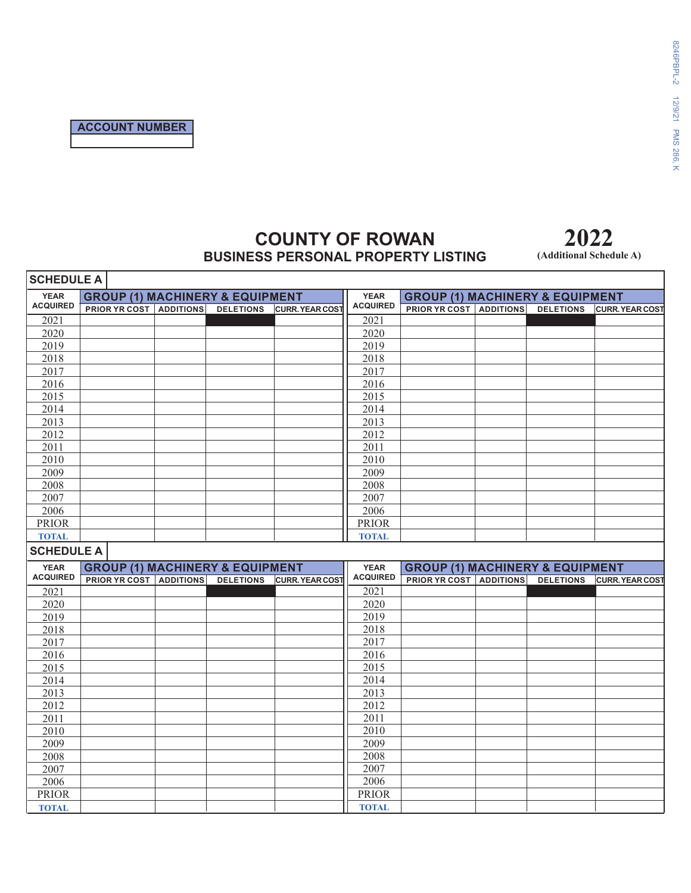## **COUNTY OF ROWAN BUSINESS PERSONAL PROPERTY LISTING**

**(Additional Schedule A)**

| <b>SCHEDULE A</b> |                                                                                |  |                  |                        |                   |                                                                                |  |                  |                        |
|-------------------|--------------------------------------------------------------------------------|--|------------------|------------------------|-------------------|--------------------------------------------------------------------------------|--|------------------|------------------------|
| <b>YEAR</b>       | <b>GROUP (1) MACHINERY &amp; EQUIPMENT</b>                                     |  |                  |                        | <b>YEAR</b>       | <b>GROUP (1) MACHINERY &amp; EQUIPMENT</b>                                     |  |                  |                        |
| <b>ACQUIRED</b>   | <b>PRIOR YR COST   ADDITIONS   DELETIONS   CURR. YEAR COST</b>                 |  |                  |                        | <b>ACQUIRED</b>   | <b>PRIOR YR COST   ADDITIONS</b>                                               |  | <b>DELETIONS</b> | <b>CURR. YEAR COST</b> |
| 2021              |                                                                                |  |                  |                        | 2021              |                                                                                |  |                  |                        |
| 2020              |                                                                                |  |                  |                        | 2020              |                                                                                |  |                  |                        |
| 2019              |                                                                                |  |                  |                        | 2019              |                                                                                |  |                  |                        |
| 2018              |                                                                                |  |                  |                        | 2018              |                                                                                |  |                  |                        |
| 2017              |                                                                                |  |                  |                        | 2017              |                                                                                |  |                  |                        |
| 2016              |                                                                                |  |                  |                        | 2016              |                                                                                |  |                  |                        |
| 2015              |                                                                                |  |                  |                        | 2015              |                                                                                |  |                  |                        |
| 2014              |                                                                                |  |                  |                        | 2014              |                                                                                |  |                  |                        |
| 2013              |                                                                                |  |                  |                        | 2013              |                                                                                |  |                  |                        |
| 2012              |                                                                                |  |                  |                        | 2012              |                                                                                |  |                  |                        |
| 2011              |                                                                                |  |                  |                        | 2011              |                                                                                |  |                  |                        |
| 2010              |                                                                                |  |                  |                        | 2010              |                                                                                |  |                  |                        |
| 2009              |                                                                                |  |                  |                        | 2009              |                                                                                |  |                  |                        |
| 2008              |                                                                                |  |                  |                        | 2008              |                                                                                |  |                  |                        |
| 2007              |                                                                                |  |                  |                        | 2007              |                                                                                |  |                  |                        |
| 2006              |                                                                                |  |                  |                        | 2006              |                                                                                |  |                  |                        |
| <b>PRIOR</b>      |                                                                                |  |                  |                        | <b>PRIOR</b>      |                                                                                |  |                  |                        |
| <b>TOTAL</b>      |                                                                                |  |                  |                        | <b>TOTAL</b>      |                                                                                |  |                  |                        |
|                   |                                                                                |  |                  |                        |                   |                                                                                |  |                  |                        |
| <b>SCHEDULE A</b> |                                                                                |  |                  |                        |                   |                                                                                |  |                  |                        |
| <b>YEAR</b>       |                                                                                |  |                  |                        | <b>YEAR</b>       |                                                                                |  |                  |                        |
| <b>ACQUIRED</b>   | <b>GROUP (1) MACHINERY &amp; EQUIPMENT</b><br><b>PRIOR YR COST   ADDITIONS</b> |  | <b>DELETIONS</b> | <b>CURR. YEAR COST</b> | <b>ACQUIRED</b>   | <b>GROUP (1) MACHINERY &amp; EQUIPMENT</b><br><b>PRIOR YR COST   ADDITIONS</b> |  | <b>DELETIONS</b> | <b>CURR. YEAR COST</b> |
| 2021              |                                                                                |  |                  |                        | $\overline{2021}$ |                                                                                |  |                  |                        |
| 2020              |                                                                                |  |                  |                        | 2020              |                                                                                |  |                  |                        |
| 2019              |                                                                                |  |                  |                        | 2019              |                                                                                |  |                  |                        |
| 2018              |                                                                                |  |                  |                        | 2018              |                                                                                |  |                  |                        |
| 2017              |                                                                                |  |                  |                        | 2017              |                                                                                |  |                  |                        |
| 2016              |                                                                                |  |                  |                        | 2016              |                                                                                |  |                  |                        |
| 2015              |                                                                                |  |                  |                        | 2015              |                                                                                |  |                  |                        |
| 2014              |                                                                                |  |                  |                        | 2014              |                                                                                |  |                  |                        |
| 2013              |                                                                                |  |                  |                        | 2013              |                                                                                |  |                  |                        |
| 2012              |                                                                                |  |                  |                        | 2012              |                                                                                |  |                  |                        |
| 2011              |                                                                                |  |                  |                        | 2011              |                                                                                |  |                  |                        |
| 2010              |                                                                                |  |                  |                        | 2010              |                                                                                |  |                  |                        |
| 2009              |                                                                                |  |                  |                        | 2009              |                                                                                |  |                  |                        |
| 2008              |                                                                                |  |                  |                        | 2008              |                                                                                |  |                  |                        |
| 2007              |                                                                                |  |                  |                        | 2007              |                                                                                |  |                  |                        |
| 2006              |                                                                                |  |                  |                        | 2006              |                                                                                |  |                  |                        |
| <b>PRIOR</b>      |                                                                                |  |                  |                        | <b>PRIOR</b>      |                                                                                |  |                  |                        |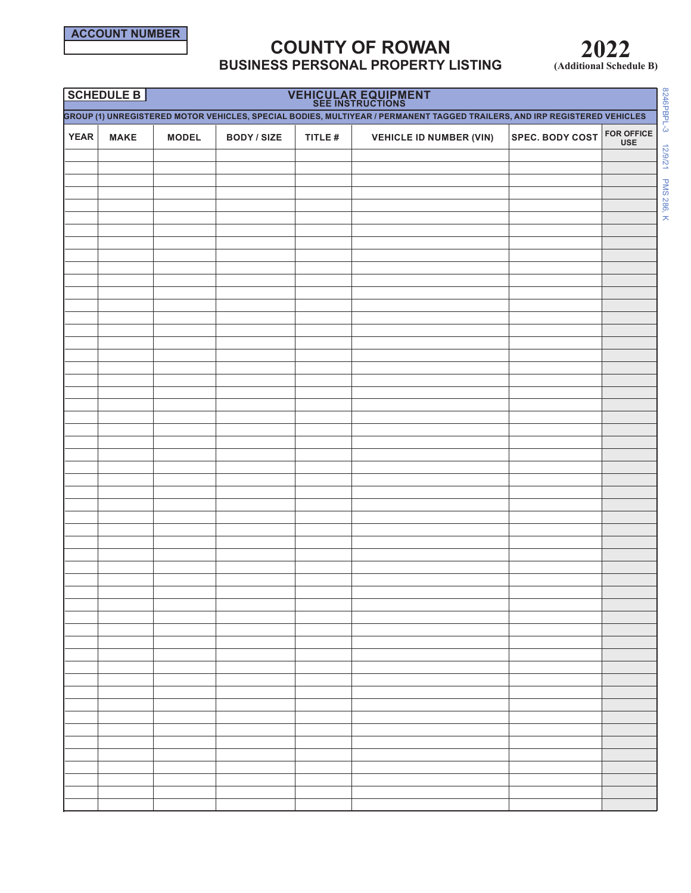**SCHEDULE B**

# **COUNTY OF ROWAN BUSINESS PERSONAL PROPERTY LISTING**

**VEHICULAR EQUIPMENT**

**2022 (Additional Schedule B)**

|                                                                                                                           | ∣ J∪NEDULE D I |              |                    |         | VENICULAR EQUIPMENT<br><b>SEE INSTRUCTIONS</b> |                        |                                 |  |  |  |  |
|---------------------------------------------------------------------------------------------------------------------------|----------------|--------------|--------------------|---------|------------------------------------------------|------------------------|---------------------------------|--|--|--|--|
| GROUP (1) UNREGISTERED MOTOR VEHICLES, SPECIAL BODIES, MULTIYEAR / PERMANENT TAGGED TRAILERS, AND IRP REGISTERED VEHICLES |                |              |                    |         |                                                |                        |                                 |  |  |  |  |
| <b>YEAR</b>                                                                                                               | <b>MAKE</b>    | <b>MODEL</b> | <b>BODY / SIZE</b> | TITLE # | <b>VEHICLE ID NUMBER (VIN)</b>                 | <b>SPEC. BODY COST</b> | <b>FOR OFFICE</b><br><b>USE</b> |  |  |  |  |
|                                                                                                                           |                |              |                    |         |                                                |                        |                                 |  |  |  |  |
|                                                                                                                           |                |              |                    |         |                                                |                        |                                 |  |  |  |  |
|                                                                                                                           |                |              |                    |         |                                                |                        |                                 |  |  |  |  |
|                                                                                                                           |                |              |                    |         |                                                |                        |                                 |  |  |  |  |
|                                                                                                                           |                |              |                    |         |                                                |                        |                                 |  |  |  |  |
|                                                                                                                           |                |              |                    |         |                                                |                        |                                 |  |  |  |  |
|                                                                                                                           |                |              |                    |         |                                                |                        |                                 |  |  |  |  |
|                                                                                                                           |                |              |                    |         |                                                |                        |                                 |  |  |  |  |
|                                                                                                                           |                |              |                    |         |                                                |                        |                                 |  |  |  |  |
|                                                                                                                           |                |              |                    |         |                                                |                        |                                 |  |  |  |  |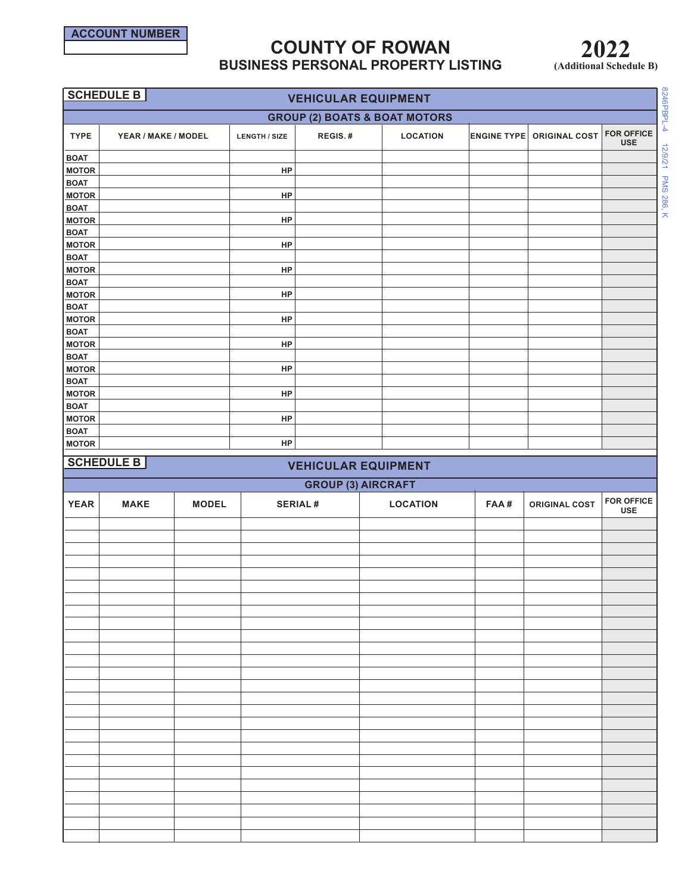

# **COUNTY OF ROWAN BUSINESS PERSONAL PROPERTY LISTING**

**2022 (Additional Schedule B)**

|                             | SCHEDULE B<br><b>VEHICULAR EQUIPMENT</b> |              |                      |                           |                            |                    |                      |                                 |  |  |  |  |
|-----------------------------|------------------------------------------|--------------|----------------------|---------------------------|----------------------------|--------------------|----------------------|---------------------------------|--|--|--|--|
|                             | <b>GROUP (2) BOATS &amp; BOAT MOTORS</b> |              |                      |                           |                            |                    |                      |                                 |  |  |  |  |
| <b>TYPE</b>                 | YEAR / MAKE / MODEL                      |              | <b>LENGTH / SIZE</b> | REGIS.#                   | <b>LOCATION</b>            | <b>ENGINE TYPE</b> | <b>ORIGINAL COST</b> | <b>FOR OFFICE</b><br><b>USE</b> |  |  |  |  |
| <b>BOAT</b>                 |                                          |              |                      |                           |                            |                    |                      |                                 |  |  |  |  |
| <b>MOTOR</b><br><b>BOAT</b> |                                          |              | HP                   |                           |                            |                    |                      |                                 |  |  |  |  |
| <b>MOTOR</b>                |                                          |              | HP                   |                           |                            |                    |                      |                                 |  |  |  |  |
| <b>BOAT</b>                 |                                          |              |                      |                           |                            |                    |                      |                                 |  |  |  |  |
| <b>MOTOR</b>                |                                          |              | HP                   |                           |                            |                    |                      |                                 |  |  |  |  |
| <b>BOAT</b>                 |                                          |              |                      |                           |                            |                    |                      |                                 |  |  |  |  |
| <b>MOTOR</b>                |                                          |              | HP                   |                           |                            |                    |                      |                                 |  |  |  |  |
| <b>BOAT</b><br><b>MOTOR</b> |                                          |              | HP                   |                           |                            |                    |                      |                                 |  |  |  |  |
| <b>BOAT</b>                 |                                          |              |                      |                           |                            |                    |                      |                                 |  |  |  |  |
| <b>MOTOR</b>                |                                          |              | HP                   |                           |                            |                    |                      |                                 |  |  |  |  |
| <b>BOAT</b>                 |                                          |              |                      |                           |                            |                    |                      |                                 |  |  |  |  |
| <b>MOTOR</b>                |                                          |              | HP                   |                           |                            |                    |                      |                                 |  |  |  |  |
| <b>BOAT</b>                 |                                          |              |                      |                           |                            |                    |                      |                                 |  |  |  |  |
| <b>MOTOR</b>                |                                          |              | HP                   |                           |                            |                    |                      |                                 |  |  |  |  |
| <b>BOAT</b><br><b>MOTOR</b> |                                          |              | HP                   |                           |                            |                    |                      |                                 |  |  |  |  |
| <b>BOAT</b>                 |                                          |              |                      |                           |                            |                    |                      |                                 |  |  |  |  |
| <b>MOTOR</b>                |                                          |              | HP                   |                           |                            |                    |                      |                                 |  |  |  |  |
| <b>BOAT</b>                 |                                          |              |                      |                           |                            |                    |                      |                                 |  |  |  |  |
| <b>MOTOR</b>                |                                          |              | HP                   |                           |                            |                    |                      |                                 |  |  |  |  |
| <b>BOAT</b>                 |                                          |              | HP                   |                           |                            |                    |                      |                                 |  |  |  |  |
| <b>MOTOR</b>                |                                          |              |                      |                           |                            |                    |                      |                                 |  |  |  |  |
|                             |                                          |              |                      |                           |                            |                    |                      |                                 |  |  |  |  |
|                             | SCHEDULE B                               |              |                      |                           | <b>VEHICULAR EQUIPMENT</b> |                    |                      |                                 |  |  |  |  |
|                             |                                          |              |                      | <b>GROUP (3) AIRCRAFT</b> |                            |                    |                      |                                 |  |  |  |  |
| <b>YEAR</b>                 | <b>MAKE</b>                              | <b>MODEL</b> |                      | <b>SERIAL#</b>            | <b>LOCATION</b>            | FAA#               | <b>ORIGINAL COST</b> | <b>FOR OFFICE</b><br><b>USE</b> |  |  |  |  |
|                             |                                          |              |                      |                           |                            |                    |                      |                                 |  |  |  |  |
|                             |                                          |              |                      |                           |                            |                    |                      |                                 |  |  |  |  |
|                             |                                          |              |                      |                           |                            |                    |                      |                                 |  |  |  |  |
|                             |                                          |              |                      |                           |                            |                    |                      |                                 |  |  |  |  |
|                             |                                          |              |                      |                           |                            |                    |                      |                                 |  |  |  |  |
|                             |                                          |              |                      |                           |                            |                    |                      |                                 |  |  |  |  |
|                             |                                          |              |                      |                           |                            |                    |                      |                                 |  |  |  |  |
|                             |                                          |              |                      |                           |                            |                    |                      |                                 |  |  |  |  |
|                             |                                          |              |                      |                           |                            |                    |                      |                                 |  |  |  |  |
|                             |                                          |              |                      |                           |                            |                    |                      |                                 |  |  |  |  |
|                             |                                          |              |                      |                           |                            |                    |                      |                                 |  |  |  |  |
|                             |                                          |              |                      |                           |                            |                    |                      |                                 |  |  |  |  |
|                             |                                          |              |                      |                           |                            |                    |                      |                                 |  |  |  |  |
|                             |                                          |              |                      |                           |                            |                    |                      |                                 |  |  |  |  |
|                             |                                          |              |                      |                           |                            |                    |                      |                                 |  |  |  |  |
|                             |                                          |              |                      |                           |                            |                    |                      |                                 |  |  |  |  |
|                             |                                          |              |                      |                           |                            |                    |                      |                                 |  |  |  |  |
|                             |                                          |              |                      |                           |                            |                    |                      |                                 |  |  |  |  |
|                             |                                          |              |                      |                           |                            |                    |                      |                                 |  |  |  |  |
|                             |                                          |              |                      |                           |                            |                    |                      |                                 |  |  |  |  |
|                             |                                          |              |                      |                           |                            |                    |                      |                                 |  |  |  |  |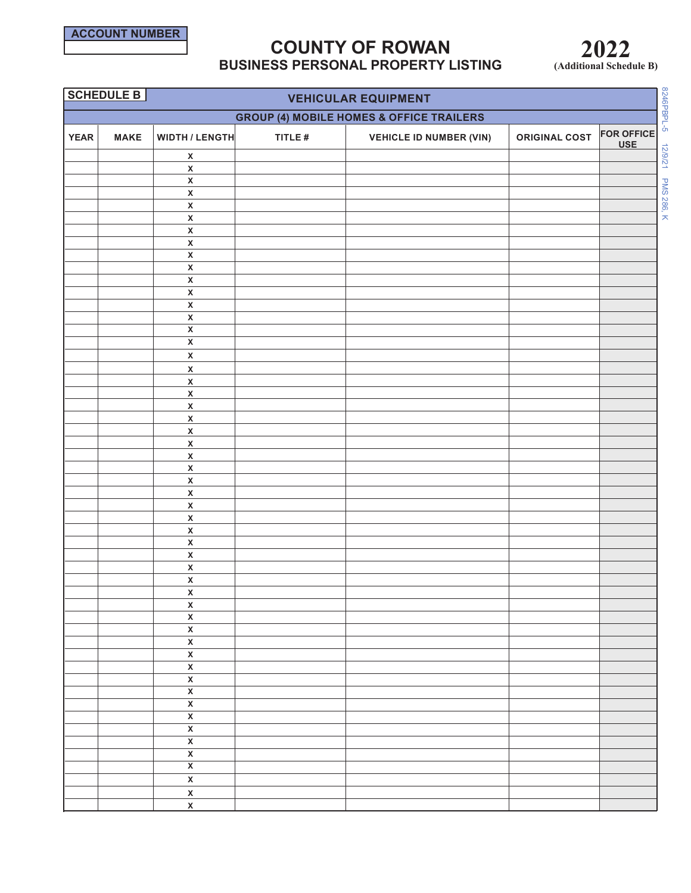

# **COUNTY OF ROWAN BUSINESS PERSONAL PROPERTY LISTING**

**2022 (Additional Schedule B)**

|             | SCHEDULE B  |                                                    |           | <b>VEHICULAR EQUIPMENT</b>                          |                      |                                 |
|-------------|-------------|----------------------------------------------------|-----------|-----------------------------------------------------|----------------------|---------------------------------|
|             |             |                                                    |           |                                                     |                      |                                 |
|             |             |                                                    |           | <b>GROUP (4) MOBILE HOMES &amp; OFFICE TRAILERS</b> |                      |                                 |
| <b>YEAR</b> | <b>MAKE</b> | <b>WIDTH / LENGTH</b>                              | TITLE $#$ | <b>VEHICLE ID NUMBER (VIN)</b>                      | <b>ORIGINAL COST</b> | <b>FOR OFFICE</b><br><b>USE</b> |
|             |             | $\pmb{\mathsf{x}}$                                 |           |                                                     |                      |                                 |
|             |             | $\overline{\mathbf{x}}$                            |           |                                                     |                      |                                 |
|             |             | $\pmb{\mathsf{X}}$                                 |           |                                                     |                      |                                 |
|             |             | $\pmb{\mathsf{X}}$                                 |           |                                                     |                      |                                 |
|             |             | $\pmb{\mathsf{x}}$                                 |           |                                                     |                      |                                 |
|             |             | $\pmb{\mathsf{X}}$                                 |           |                                                     |                      |                                 |
|             |             | $\overline{\mathbf{x}}$                            |           |                                                     |                      |                                 |
|             |             | $\overline{\mathbf{x}}$<br>$\pmb{\mathsf{X}}$      |           |                                                     |                      |                                 |
|             |             | $\overline{\mathbf{X}}$                            |           |                                                     |                      |                                 |
|             |             | $\pmb{\mathsf{X}}$                                 |           |                                                     |                      |                                 |
|             |             | $\pmb{\mathsf{X}}$                                 |           |                                                     |                      |                                 |
|             |             | $\overline{\mathbf{x}}$                            |           |                                                     |                      |                                 |
|             |             | $\overline{\mathbf{x}}$                            |           |                                                     |                      |                                 |
|             |             | $\overline{\mathbf{x}}$                            |           |                                                     |                      |                                 |
|             |             | $\overline{\mathbf{x}}$                            |           |                                                     |                      |                                 |
|             |             | $\pmb{\mathsf{X}}$                                 |           |                                                     |                      |                                 |
|             |             | $\pmb{\chi}$                                       |           |                                                     |                      |                                 |
|             |             | $\mathsf{x}$                                       |           |                                                     |                      |                                 |
|             |             | $\mathsf{X}$                                       |           |                                                     |                      |                                 |
|             |             | $\pmb{\mathsf{X}}$<br>$\mathsf{x}$                 |           |                                                     |                      |                                 |
|             |             | $\pmb{\mathsf{x}}$                                 |           |                                                     |                      |                                 |
|             |             | $\pmb{\mathsf{X}}$                                 |           |                                                     |                      |                                 |
|             |             | $\pmb{\mathsf{X}}$                                 |           |                                                     |                      |                                 |
|             |             | $\pmb{\mathsf{X}}$                                 |           |                                                     |                      |                                 |
|             |             | $\bar{\mathbf{x}}$                                 |           |                                                     |                      |                                 |
|             |             | $\pmb{\mathsf{X}}$                                 |           |                                                     |                      |                                 |
|             |             | $\pmb{\mathsf{X}}$                                 |           |                                                     |                      |                                 |
|             |             | $\pmb{\mathsf{X}}$                                 |           |                                                     |                      |                                 |
|             |             | $\pmb{\mathsf{X}}$                                 |           |                                                     |                      |                                 |
|             |             | $\pmb{\mathsf{X}}$<br>$\overline{\mathbf{x}}$      |           |                                                     |                      |                                 |
|             |             | $\pmb{\mathsf{X}}$                                 |           |                                                     |                      |                                 |
|             |             | $\pmb{\mathsf{X}}$                                 |           |                                                     |                      |                                 |
|             |             | $\pmb{\mathsf{x}}$                                 |           |                                                     |                      |                                 |
|             |             | $\pmb{\mathsf{x}}$                                 |           |                                                     |                      |                                 |
|             |             | $\pmb{\mathsf{x}}$                                 |           |                                                     |                      |                                 |
|             |             | $\overline{\mathbf{x}}$                            |           |                                                     |                      |                                 |
|             |             | $\overline{\mathbf{x}}$                            |           |                                                     |                      |                                 |
|             |             | $\overline{\mathbf{x}}$                            |           |                                                     |                      |                                 |
|             |             | $\overline{\mathbf{x}}$                            |           |                                                     |                      |                                 |
|             |             | $\overline{\mathbf{x}}$                            |           |                                                     |                      |                                 |
|             |             | $\overline{\mathbf{x}}$<br>$\overline{\mathbf{x}}$ |           |                                                     |                      |                                 |
|             |             | $\overline{\mathbf{x}}$                            |           |                                                     |                      |                                 |
|             |             | $\overline{\mathbf{x}}$                            |           |                                                     |                      |                                 |
|             |             | $\overline{\mathbf{x}}$                            |           |                                                     |                      |                                 |
|             |             | $\overline{\mathbf{x}}$                            |           |                                                     |                      |                                 |
|             |             | $\overline{\mathbf{x}}$                            |           |                                                     |                      |                                 |
|             |             | $\pmb{\mathsf{X}}$                                 |           |                                                     |                      |                                 |
|             |             | $\overline{\mathsf{x}}$                            |           |                                                     |                      |                                 |
|             |             | $\overline{\mathbf{x}}$                            |           |                                                     |                      |                                 |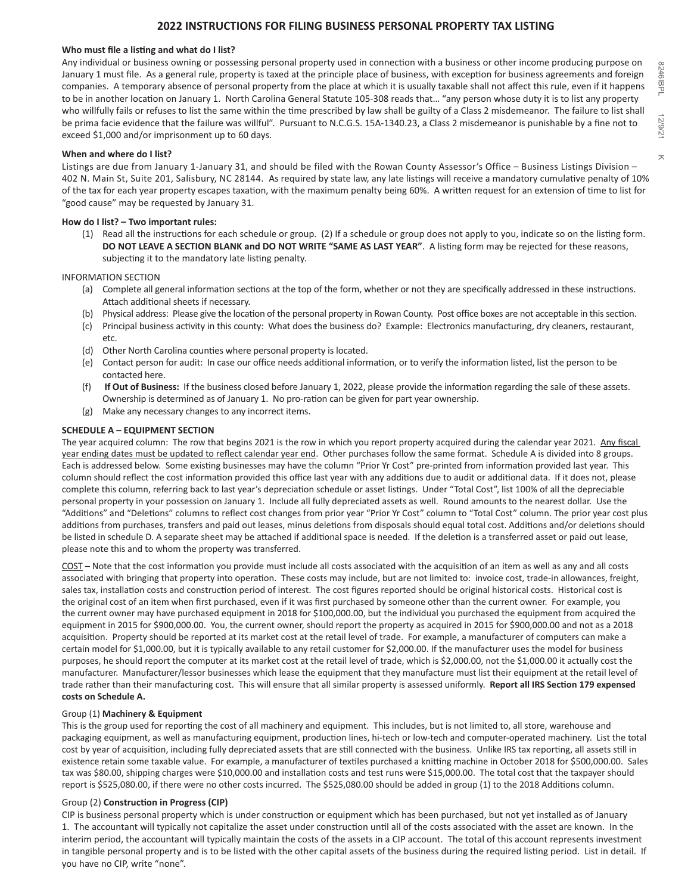## **2022 INSTRUCTIONS FOR FILING BUSINESS PERSONAL PROPERTY TAX LISTING**

### **Who must file a listing and what do I list?**

Any individual or business owning or possessing personal property used in connection with a business or other income producing purpose on January 1 must file. As a general rule, property is taxed at the principle place of business, with exception for business agreements and foreign companies. A temporary absence of personal property from the place at which it is usually taxable shall not affect this rule, even if it happens to be in another location on January 1. North Carolina General Statute 105-308 reads that… "any person whose duty it is to list any property who willfully fails or refuses to list the same within the time prescribed by law shall be guilty of a Class 2 misdemeanor. The failure to list shall be prima facie evidence that the failure was willful". Pursuant to N.C.G.S. 15A-1340.23, a Class 2 misdemeanor is punishable by a fine not to exceed \$1,000 and/or imprisonment up to 60 days.

## **When and where do I list?**

Listings are due from January 1-January 31, and should be filed with the Rowan County Assessor's Office – Business Listings Division – 402 N. Main St, Suite 201, Salisbury, NC 28144. As required by state law, any late listings will receive a mandatory cumulative penalty of 10% of the tax for each year property escapes taxation, with the maximum penalty being 60%. A written request for an extension of time to list for "good cause" may be requested by January 31.

## **How do I list? – Two important rules:**

(1) Read all the instructions for each schedule or group. (2) If a schedule or group does not apply to you, indicate so on the listing form. **DO NOT LEAVE A SECTION BLANK and DO NOT WRITE "SAME AS LAST YEAR"**. A listing form may be rejected for these reasons, subjecting it to the mandatory late listing penalty.

## INFORMATION SECTION

- (a) Complete all general information sections at the top of the form, whether or not they are specifically addressed in these instructions. Attach additional sheets if necessary.
- (b) Physical address: Please give the location of the personal property in Rowan County. Post office boxes are not acceptable in this section.
- (c) Principal business activity in this county: What does the business do? Example: Electronics manufacturing, dry cleaners, restaurant, etc.
- (d) Other North Carolina counties where personal property is located.
- (e) Contact person for audit: In case our office needs additional information, or to verify the information listed, list the person to be contacted here.
- (f) **If Out of Business:** If the business closed before January 1, 2022, please provide the information regarding the sale of these assets. Ownership is determined as of January 1. No pro-ration can be given for part year ownership.
- (g) Make any necessary changes to any incorrect items.

## **SCHEDULE A – EQUIPMENT SECTION**

The year acquired column: The row that begins 2021 is the row in which you report property acquired during the calendar year 2021. Any fiscal year ending dates must be updated to reflect calendar year end. Other purchases follow the same format. Schedule A is divided into 8 groups. Each is addressed below. Some existing businesses may have the column "Prior Yr Cost" pre-printed from information provided last year. This column should reflect the cost information provided this office last year with any additions due to audit or additional data. If it does not, please complete this column, referring back to last year's depreciation schedule or asset listings. Under "Total Cost", list 100% of all the depreciable personal property in your possession on January 1. Include all fully depreciated assets as well. Round amounts to the nearest dollar. Use the "Additions" and "Deletions" columns to reflect cost changes from prior year "Prior Yr Cost" column to "Total Cost" column. The prior year cost plus additions from purchases, transfers and paid out leases, minus deletions from disposals should equal total cost. Additions and/or deletions should be listed in schedule D. A separate sheet may be attached if additional space is needed. If the deletion is a transferred asset or paid out lease, please note this and to whom the property was transferred.

COST – Note that the cost information you provide must include all costs associated with the acquisition of an item as well as any and all costs associated with bringing that property into operation. These costs may include, but are not limited to: invoice cost, trade-in allowances, freight, sales tax, installation costs and construction period of interest. The cost figures reported should be original historical costs. Historical cost is the original cost of an item when first purchased, even if it was first purchased by someone other than the current owner. For example, you the current owner may have purchased equipment in 2018 for \$100,000.00, but the individual you purchased the equipment from acquired the equipment in 2015 for \$900,000.00. You, the current owner, should report the property as acquired in 2015 for \$900,000.00 and not as a 2018 acquisition. Property should be reported at its market cost at the retail level of trade. For example, a manufacturer of computers can make a certain model for \$1,000.00, but it is typically available to any retail customer for \$2,000.00. If the manufacturer uses the model for business purposes, he should report the computer at its market cost at the retail level of trade, which is \$2,000.00, not the \$1,000.00 it actually cost the manufacturer. Manufacturer/lessor businesses which lease the equipment that they manufacture must list their equipment at the retail level of trade rather than their manufacturing cost. This will ensure that all similar property is assessed uniformly. **Report all IRS Section 179 expensed costs on Schedule A.**

### Group (1) **Machinery & Equipment**

This is the group used for reporting the cost of all machinery and equipment. This includes, but is not limited to, all store, warehouse and packaging equipment, as well as manufacturing equipment, production lines, hi-tech or low-tech and computer-operated machinery. List the total cost by year of acquisition, including fully depreciated assets that are still connected with the business. Unlike IRS tax reporting, all assets still in existence retain some taxable value. For example, a manufacturer of textiles purchased a knitting machine in October 2018 for \$500,000.00. Sales tax was \$80.00, shipping charges were \$10,000.00 and installation costs and test runs were \$15,000.00. The total cost that the taxpayer should report is \$525,080.00, if there were no other costs incurred. The \$525,080.00 should be added in group (1) to the 2018 Additions column.

## Group (2) **Construction in Progress (CIP)**

CIP is business personal property which is under construction or equipment which has been purchased, but not yet installed as of January 1. The accountant will typically not capitalize the asset under construction until all of the costs associated with the asset are known. In the interim period, the accountant will typically maintain the costs of the assets in a CIP account. The total of this account represents investment in tangible personal property and is to be listed with the other capital assets of the business during the required listing period. List in detail. If you have no CIP, write "none".